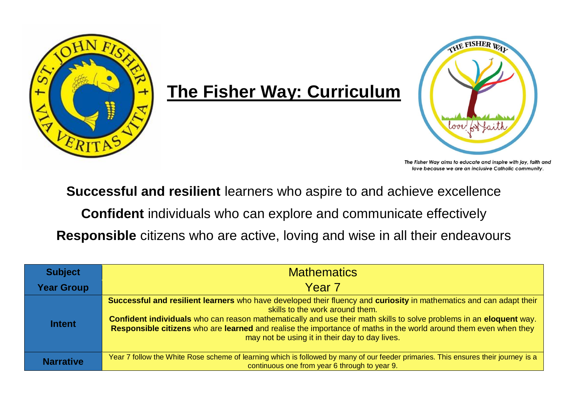

## **The Fisher Way: Curriculum**



The Fisher Way aims to educate and inspire with joy, faith and love because we are an inclusive Catholic community.

**Successful and resilient** learners who aspire to and achieve excellence

**Confident** individuals who can explore and communicate effectively

**Responsible** citizens who are active, loving and wise in all their endeavours

| <b>Subject</b>    | <b>Mathematics</b>                                                                                                                                                                                                                                                                                                                                                                                                                                  |  |  |  |  |  |
|-------------------|-----------------------------------------------------------------------------------------------------------------------------------------------------------------------------------------------------------------------------------------------------------------------------------------------------------------------------------------------------------------------------------------------------------------------------------------------------|--|--|--|--|--|
| <b>Year Group</b> | Year <sub>7</sub>                                                                                                                                                                                                                                                                                                                                                                                                                                   |  |  |  |  |  |
| <b>Intent</b>     | Successful and resilient learners who have developed their fluency and curiosity in mathematics and can adapt their<br>skills to the work around them.<br>Confident individuals who can reason mathematically and use their math skills to solve problems in an eloquent way.<br>Responsible citizens who are learned and realise the importance of maths in the world around them even when they<br>may not be using it in their day to day lives. |  |  |  |  |  |
| <b>Narrative</b>  | Year 7 follow the White Rose scheme of learning which is followed by many of our feeder primaries. This ensures their journey is a<br>continuous one from year 6 through to year 9.                                                                                                                                                                                                                                                                 |  |  |  |  |  |